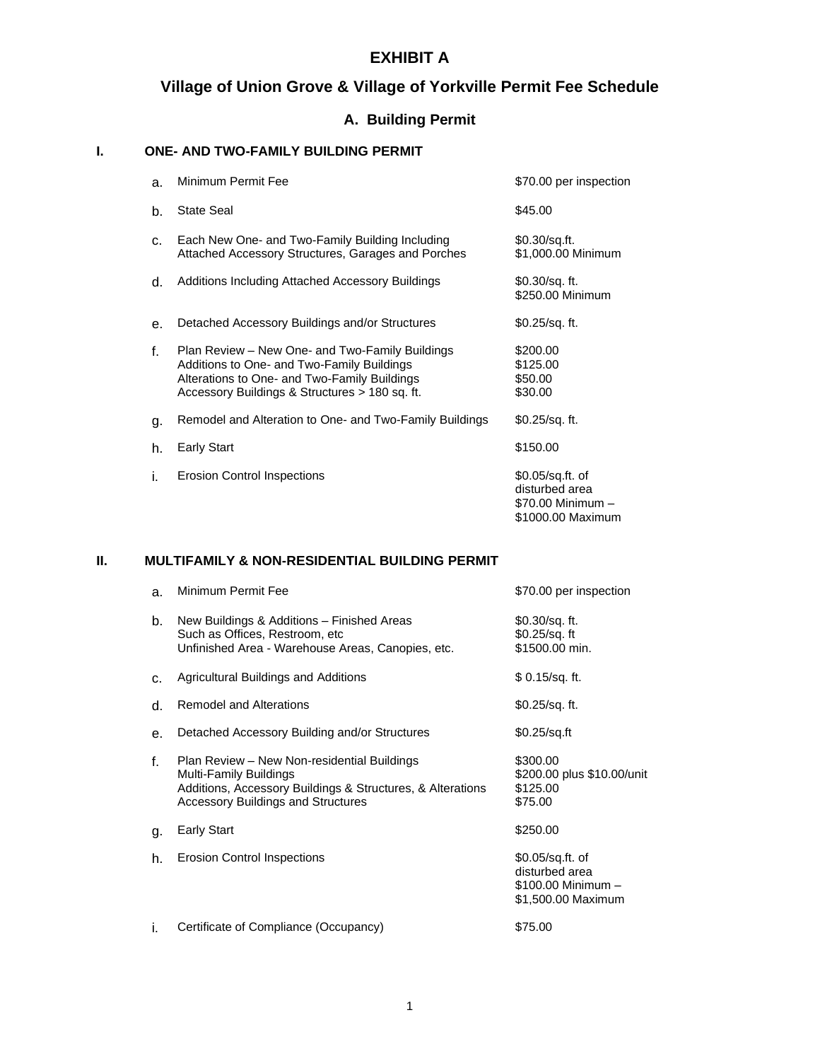# **Village of Union Grove & Village of Yorkville Permit Fee Schedule**

## **A. Building Permit**

### **I. ONE- AND TWO-FAMILY BUILDING PERMIT**

| a. | Minimum Permit Fee                                                                                                                                                                              | \$70.00 per inspection                                                       |
|----|-------------------------------------------------------------------------------------------------------------------------------------------------------------------------------------------------|------------------------------------------------------------------------------|
| b. | <b>State Seal</b>                                                                                                                                                                               | \$45.00                                                                      |
| C. | Each New One- and Two-Family Building Including<br>Attached Accessory Structures, Garages and Porches                                                                                           | \$0.30/sq.ft.<br>\$1,000.00 Minimum                                          |
| d. | Additions Including Attached Accessory Buildings                                                                                                                                                | $$0.30$ /sq. ft.<br>\$250.00 Minimum                                         |
| e. | Detached Accessory Buildings and/or Structures                                                                                                                                                  | \$0.25/sq. ft.                                                               |
| f. | Plan Review – New One- and Two-Family Buildings<br>Additions to One- and Two-Family Buildings<br>Alterations to One- and Two-Family Buildings<br>Accessory Buildings & Structures > 180 sq. ft. | \$200.00<br>\$125.00<br>\$50.00<br>\$30.00                                   |
| g. | Remodel and Alteration to One- and Two-Family Buildings                                                                                                                                         | $$0.25$ /sq. ft.                                                             |
| h. | <b>Early Start</b>                                                                                                                                                                              | \$150.00                                                                     |
| i. | <b>Erosion Control Inspections</b>                                                                                                                                                              | \$0.05/sq.ft. of<br>disturbed area<br>\$70.00 Minimum -<br>\$1000.00 Maximum |

#### **II. MULTIFAMILY & NON-RESIDENTIAL BUILDING PERMIT**

| a. | Minimum Permit Fee                                                                                                                                                               | \$70.00 per inspection                                                         |
|----|----------------------------------------------------------------------------------------------------------------------------------------------------------------------------------|--------------------------------------------------------------------------------|
| b. | New Buildings & Additions – Finished Areas<br>Such as Offices, Restroom, etc.<br>Unfinished Area - Warehouse Areas, Canopies, etc.                                               | \$0.30/sq. ft.<br>\$0.25/sq. ft<br>\$1500.00 min.                              |
| c. | Agricultural Buildings and Additions                                                                                                                                             | $$0.15/sq.$ ft.                                                                |
| d. | <b>Remodel and Alterations</b>                                                                                                                                                   | $$0.25$ /sq. ft.                                                               |
| е. | Detached Accessory Building and/or Structures                                                                                                                                    | $$0.25$ /sq.ft                                                                 |
| f. | Plan Review - New Non-residential Buildings<br>Multi-Family Buildings<br>Additions, Accessory Buildings & Structures, & Alterations<br><b>Accessory Buildings and Structures</b> | \$300.00<br>\$200.00 plus \$10.00/unit<br>\$125.00<br>\$75.00                  |
| g. | <b>Early Start</b>                                                                                                                                                               | \$250.00                                                                       |
| h. | <b>Erosion Control Inspections</b>                                                                                                                                               | \$0.05/sq.ft. of<br>disturbed area<br>\$100.00 Minimum -<br>\$1,500.00 Maximum |
| İ. | Certificate of Compliance (Occupancy)                                                                                                                                            | \$75.00                                                                        |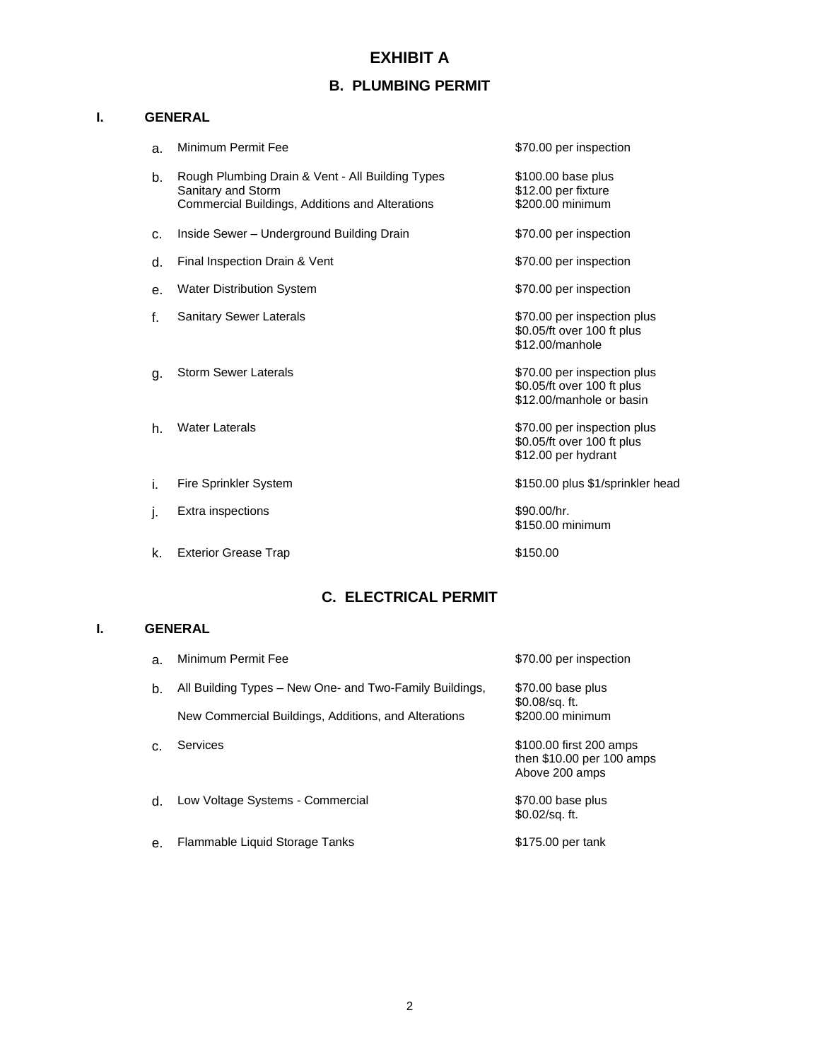# **B. PLUMBING PERMIT**

### **I. GENERAL**

| a.          | Minimum Permit Fee                                                                                                        | \$70.00 per inspection                                                                |
|-------------|---------------------------------------------------------------------------------------------------------------------------|---------------------------------------------------------------------------------------|
| b.          | Rough Plumbing Drain & Vent - All Building Types<br>Sanitary and Storm<br>Commercial Buildings, Additions and Alterations | \$100.00 base plus<br>\$12.00 per fixture<br>\$200.00 minimum                         |
| C.          | Inside Sewer - Underground Building Drain                                                                                 | \$70.00 per inspection                                                                |
| d.          | Final Inspection Drain & Vent                                                                                             | \$70.00 per inspection                                                                |
| е.          | Water Distribution System                                                                                                 | \$70.00 per inspection                                                                |
| $f_{\cdot}$ | <b>Sanitary Sewer Laterals</b>                                                                                            | \$70.00 per inspection plus<br>\$0.05/ft over 100 ft plus<br>\$12,00/manhole          |
| g.          | <b>Storm Sewer Laterals</b>                                                                                               | \$70.00 per inspection plus<br>\$0.05/ft over 100 ft plus<br>\$12,00/manhole or basin |
| h.          | <b>Water Laterals</b>                                                                                                     | \$70.00 per inspection plus<br>\$0.05/ft over 100 ft plus<br>\$12.00 per hydrant      |
| i.          | Fire Sprinkler System                                                                                                     | \$150.00 plus \$1/sprinkler head                                                      |
| j.          | Extra inspections                                                                                                         | \$90.00/hr.<br>\$150.00 minimum                                                       |
| k.          | <b>Exterior Grease Trap</b>                                                                                               | \$150.00                                                                              |

## **C. ELECTRICAL PERMIT**

### **I. GENERAL**

| a.             | Minimum Permit Fee                                      | \$70.00 per inspection                                                 |
|----------------|---------------------------------------------------------|------------------------------------------------------------------------|
| b.             | All Building Types – New One- and Two-Family Buildings, | \$70.00 base plus<br>$$0.08$ /sq. ft.                                  |
|                | New Commercial Buildings, Additions, and Alterations    | \$200.00 minimum                                                       |
| $\mathsf{C}$ . | Services                                                | \$100.00 first 200 amps<br>then \$10.00 per 100 amps<br>Above 200 amps |
| $d_{\cdot}$    | Low Voltage Systems - Commercial                        | \$70.00 base plus<br>$$0.02$ /sq. ft.                                  |
| e <sub>1</sub> | Flammable Liquid Storage Tanks                          | \$175.00 per tank                                                      |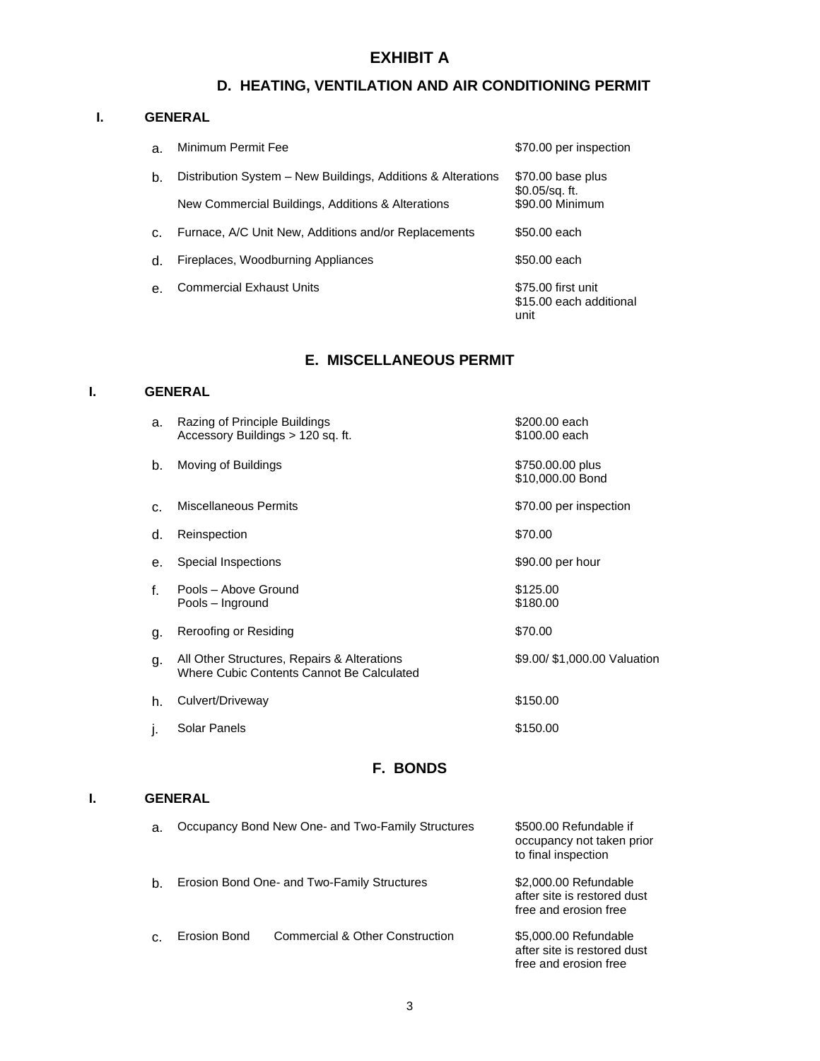# **D. HEATING, VENTILATION AND AIR CONDITIONING PERMIT**

#### **I. GENERAL**

| a.             | Minimum Permit Fee                                           | \$70.00 per inspection                                |
|----------------|--------------------------------------------------------------|-------------------------------------------------------|
| b.             | Distribution System – New Buildings, Additions & Alterations | \$70.00 base plus<br>$$0.05$ /sq. ft.                 |
|                | New Commercial Buildings, Additions & Alterations            | \$90.00 Minimum                                       |
| $\mathsf{C}$ . | Furnace, A/C Unit New, Additions and/or Replacements         | \$50,00 each                                          |
| $d$ .          | Fireplaces, Woodburning Appliances                           | \$50,00 each                                          |
| $\theta$ .     | <b>Commercial Exhaust Units</b>                              | \$75.00 first unit<br>\$15.00 each additional<br>unit |

## **E. MISCELLANEOUS PERMIT**

### **I. GENERAL**

| a. | Razing of Principle Buildings<br>Accessory Buildings > 120 sq. ft.                       | \$200.00 each<br>\$100.00 each       |
|----|------------------------------------------------------------------------------------------|--------------------------------------|
| b. | Moving of Buildings                                                                      | \$750.00.00 plus<br>\$10,000.00 Bond |
| C. | <b>Miscellaneous Permits</b>                                                             | \$70.00 per inspection               |
| d. | Reinspection                                                                             | \$70.00                              |
| е. | Special Inspections                                                                      | \$90.00 per hour                     |
| f. | Pools - Above Ground<br>Pools - Inground                                                 | \$125.00<br>\$180.00                 |
| g. | Reroofing or Residing                                                                    | \$70.00                              |
| g. | All Other Structures, Repairs & Alterations<br>Where Cubic Contents Cannot Be Calculated | \$9.00/ \$1,000.00 Valuation         |
| h. | Culvert/Driveway                                                                         | \$150.00                             |
| Ŀ  | Solar Panels                                                                             | \$150.00                             |

### **F. BONDS**

### **I. GENERAL**

| a. |              | Occupancy Bond New One- and Two-Family Structures | \$500.00 Refundable if<br>occupancy not taken prior<br>to final inspection    |
|----|--------------|---------------------------------------------------|-------------------------------------------------------------------------------|
| b. |              | Erosion Bond One- and Two-Family Structures       | \$2,000.00 Refundable<br>after site is restored dust<br>free and erosion free |
| C. | Erosion Bond | Commercial & Other Construction                   | \$5,000.00 Refundable<br>after site is restored dust<br>free and erosion free |